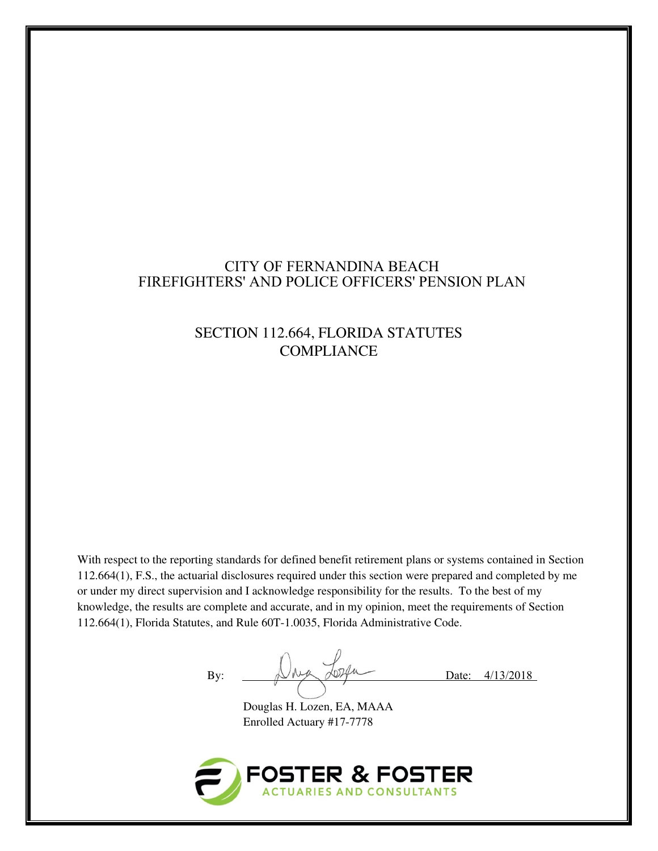## CITY OF FERNANDINA BEACH FIREFIGHTERS' AND POLICE OFFICERS' PENSION PLAN

# SECTION 112.664, FLORIDA STATUTES **COMPLIANCE**

With respect to the reporting standards for defined benefit retirement plans or systems contained in Section 112.664(1), F.S., the actuarial disclosures required under this section were prepared and completed by me or under my direct supervision and I acknowledge responsibility for the results. To the best of my knowledge, the results are complete and accurate, and in my opinion, meet the requirements of Section 112.664(1), Florida Statutes, and Rule 60T-1.0035, Florida Administrative Code.

By:  $\bigcup_{\substack{\lambda \in \mathcal{A} \\ \text{long}}}$   $\bigcup_{\substack{\lambda \in \mathcal{A} \\ \text{long}}}$  Date:  $4/13/2018$ 

Douglas H. Lozen, EA, MAAA Enrolled Actuary #17-7778

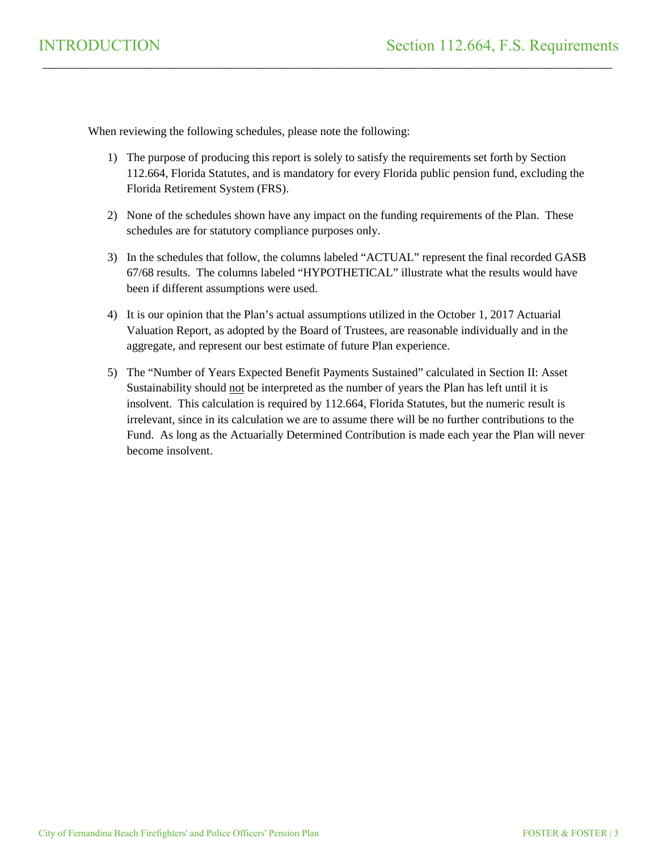When reviewing the following schedules, please note the following:

1) The purpose of producing this report is solely to satisfy the requirements set forth by Section 112.664, Florida Statutes, and is mandatory for every Florida public pension fund, excluding the Florida Retirement System (FRS).

\_\_\_\_\_\_\_\_\_\_\_\_\_\_\_\_\_\_\_\_\_\_\_\_\_\_\_\_\_\_\_\_\_\_\_\_\_\_\_\_\_\_\_\_\_\_\_\_\_\_\_\_\_\_\_\_\_\_\_\_\_\_\_\_\_\_\_\_\_\_\_\_\_\_\_\_\_\_\_\_\_\_\_\_\_\_\_\_\_\_\_\_\_\_\_\_\_\_\_\_\_\_\_\_\_\_\_\_\_\_\_\_\_\_\_\_\_\_\_\_\_\_\_

- 2) None of the schedules shown have any impact on the funding requirements of the Plan. These schedules are for statutory compliance purposes only.
- 3) In the schedules that follow, the columns labeled "ACTUAL" represent the final recorded GASB 67/68 results. The columns labeled "HYPOTHETICAL" illustrate what the results would have been if different assumptions were used.
- 4) It is our opinion that the Plan's actual assumptions utilized in the October 1, 2017 Actuarial Valuation Report, as adopted by the Board of Trustees, are reasonable individually and in the aggregate, and represent our best estimate of future Plan experience.
- 5) The "Number of Years Expected Benefit Payments Sustained" calculated in Section II: Asset Sustainability should not be interpreted as the number of years the Plan has left until it is insolvent. This calculation is required by 112.664, Florida Statutes, but the numeric result is irrelevant, since in its calculation we are to assume there will be no further contributions to the Fund. As long as the Actuarially Determined Contribution is made each year the Plan will never become insolvent.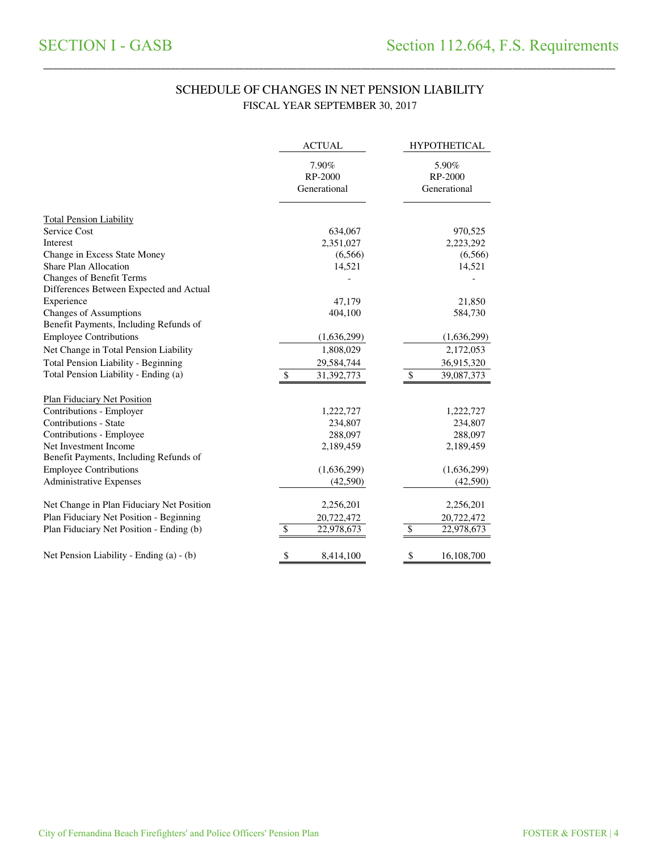### SCHEDULE OF CHANGES IN NET PENSION LIABILITY FISCAL YEAR SEPTEMBER 30, 2017

\_\_\_\_\_\_\_\_\_\_\_\_\_\_\_\_\_\_\_\_\_\_\_\_\_\_\_\_\_\_\_\_\_\_\_\_\_\_\_\_\_\_\_\_\_\_\_\_\_\_\_\_\_\_\_\_\_\_\_\_\_\_\_\_\_\_\_\_\_\_\_\_\_\_\_\_\_\_\_\_\_\_\_\_\_\_\_\_\_\_\_\_\_\_\_\_\_\_\_\_\_\_\_\_\_\_\_\_\_\_\_\_\_\_\_\_\_\_\_\_\_\_\_\_\_\_\_\_\_\_\_\_\_

|                                            | <b>ACTUAL</b>                    | <b>HYPOTHETICAL</b>              |
|--------------------------------------------|----------------------------------|----------------------------------|
|                                            | 7.90%<br>RP-2000<br>Generational | 5.90%<br>RP-2000<br>Generational |
| <b>Total Pension Liability</b>             |                                  |                                  |
| Service Cost                               | 634,067                          | 970,525                          |
| Interest                                   | 2,351,027                        | 2,223,292                        |
| Change in Excess State Money               | (6,566)                          | (6,566)                          |
| <b>Share Plan Allocation</b>               | 14,521                           | 14,521                           |
| <b>Changes of Benefit Terms</b>            |                                  |                                  |
| Differences Between Expected and Actual    |                                  |                                  |
| Experience                                 | 47,179                           | 21,850                           |
| <b>Changes of Assumptions</b>              | 404,100                          | 584,730                          |
| Benefit Payments, Including Refunds of     |                                  |                                  |
| <b>Employee Contributions</b>              | (1,636,299)                      | (1,636,299)                      |
| Net Change in Total Pension Liability      | 1,808,029                        | 2,172,053                        |
| <b>Total Pension Liability - Beginning</b> | 29,584,744                       | 36,915,320                       |
| Total Pension Liability - Ending (a)       | \$<br>31,392,773                 | \$<br>39,087,373                 |
| <b>Plan Fiduciary Net Position</b>         |                                  |                                  |
| Contributions - Employer                   | 1,222,727                        | 1,222,727                        |
| Contributions - State                      | 234,807                          | 234,807                          |
| Contributions - Employee                   | 288,097                          | 288,097                          |
| Net Investment Income                      | 2,189,459                        | 2,189,459                        |
| Benefit Payments, Including Refunds of     |                                  |                                  |
| <b>Employee Contributions</b>              | (1,636,299)                      | (1,636,299)                      |
| <b>Administrative Expenses</b>             | (42,590)                         | (42,590)                         |
| Net Change in Plan Fiduciary Net Position  | 2,256,201                        | 2,256,201                        |
| Plan Fiduciary Net Position - Beginning    | 20,722,472                       | 20,722,472                       |
| Plan Fiduciary Net Position - Ending (b)   | \$<br>22,978,673                 | \$<br>22,978,673                 |
| Net Pension Liability - Ending (a) - (b)   | \$<br>8,414,100                  | \$<br>16,108,700                 |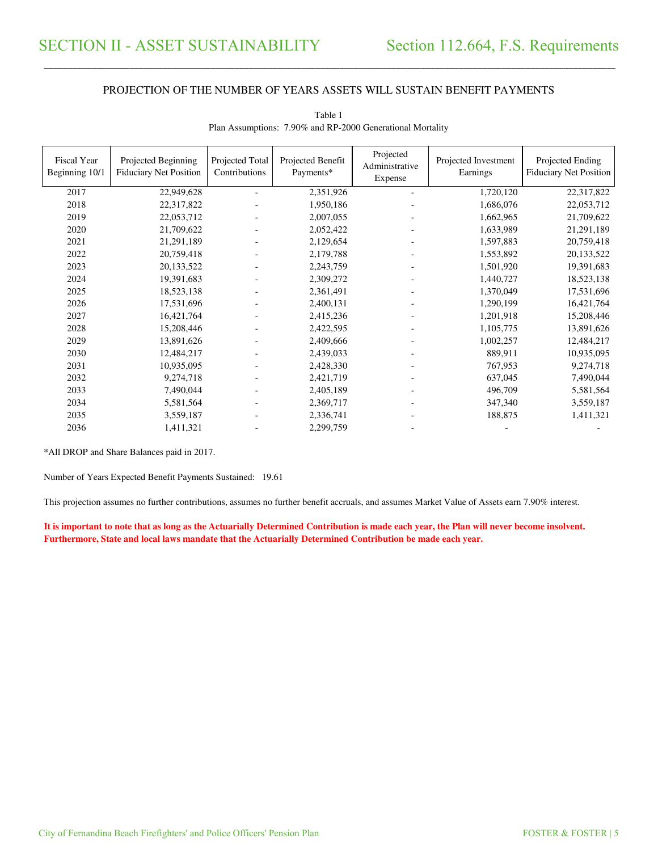#### PROJECTION OF THE NUMBER OF YEARS ASSETS WILL SUSTAIN BENEFIT PAYMENTS

\_\_\_\_\_\_\_\_\_\_\_\_\_\_\_\_\_\_\_\_\_\_\_\_\_\_\_\_\_\_\_\_\_\_\_\_\_\_\_\_\_\_\_\_\_\_\_\_\_\_\_\_\_\_\_\_\_\_\_\_\_\_\_\_\_\_\_\_\_\_\_\_\_\_\_\_\_\_\_\_\_\_\_\_\_\_\_\_\_\_\_\_\_\_\_\_\_\_\_\_\_\_\_\_\_\_\_\_\_\_\_\_\_\_\_\_\_\_\_\_\_\_\_\_\_\_\_\_\_\_\_\_\_\_\_\_\_\_\_\_\_\_\_\_\_\_\_\_\_\_

| Fiscal Year<br>Beginning 10/1 | Projected Beginning<br><b>Fiduciary Net Position</b> | Projected Total<br>Contributions | Projected Benefit<br>Payments* | Projected<br>Administrative<br>Expense | Projected Investment<br>Earnings | Projected Ending<br><b>Fiduciary Net Position</b> |
|-------------------------------|------------------------------------------------------|----------------------------------|--------------------------------|----------------------------------------|----------------------------------|---------------------------------------------------|
| 2017                          | 22,949,628                                           |                                  | 2,351,926                      |                                        | 1,720,120                        | 22,317,822                                        |
| 2018                          | 22,317,822                                           |                                  | 1,950,186                      |                                        | 1,686,076                        | 22,053,712                                        |
| 2019                          | 22,053,712                                           |                                  | 2,007,055                      |                                        | 1,662,965                        | 21,709,622                                        |
| 2020                          | 21,709,622                                           |                                  | 2,052,422                      |                                        | 1,633,989                        | 21,291,189                                        |
| 2021                          | 21,291,189                                           |                                  | 2,129,654                      |                                        | 1,597,883                        | 20,759,418                                        |
| 2022                          | 20,759,418                                           |                                  | 2,179,788                      |                                        | 1,553,892                        | 20,133,522                                        |
| 2023                          | 20,133,522                                           |                                  | 2,243,759                      |                                        | 1,501,920                        | 19,391,683                                        |
| 2024                          | 19,391,683                                           |                                  | 2,309,272                      | $\blacksquare$                         | 1,440,727                        | 18,523,138                                        |
| 2025                          | 18,523,138                                           |                                  | 2,361,491                      |                                        | 1,370,049                        | 17,531,696                                        |
| 2026                          | 17,531,696                                           |                                  | 2,400,131                      |                                        | 1,290,199                        | 16,421,764                                        |
| 2027                          | 16,421,764                                           |                                  | 2,415,236                      |                                        | 1,201,918                        | 15,208,446                                        |
| 2028                          | 15,208,446                                           |                                  | 2,422,595                      |                                        | 1,105,775                        | 13,891,626                                        |
| 2029                          | 13,891,626                                           |                                  | 2,409,666                      |                                        | 1,002,257                        | 12,484,217                                        |
| 2030                          | 12,484,217                                           |                                  | 2,439,033                      |                                        | 889,911                          | 10,935,095                                        |
| 2031                          | 10,935,095                                           |                                  | 2,428,330                      |                                        | 767,953                          | 9,274,718                                         |
| 2032                          | 9,274,718                                            |                                  | 2,421,719                      | $\blacksquare$                         | 637,045                          | 7,490,044                                         |
| 2033                          | 7,490,044                                            |                                  | 2,405,189                      |                                        | 496,709                          | 5,581,564                                         |
| 2034                          | 5,581,564                                            |                                  | 2,369,717                      |                                        | 347,340                          | 3,559,187                                         |
| 2035                          | 3,559,187                                            |                                  | 2,336,741                      |                                        | 188,875                          | 1,411,321                                         |
| 2036                          | 1,411,321                                            |                                  | 2,299,759                      |                                        |                                  |                                                   |

| Table 1                                                    |
|------------------------------------------------------------|
| Plan Assumptions: 7.90% and RP-2000 Generational Mortality |

\*All DROP and Share Balances paid in 2017.

Number of Years Expected Benefit Payments Sustained: 19.61

This projection assumes no further contributions, assumes no further benefit accruals, and assumes Market Value of Assets earn 7.90% interest.

**It is important to note that as long as the Actuarially Determined Contribution is made each year, the Plan will never become insolvent. Furthermore, State and local laws mandate that the Actuarially Determined Contribution be made each year.**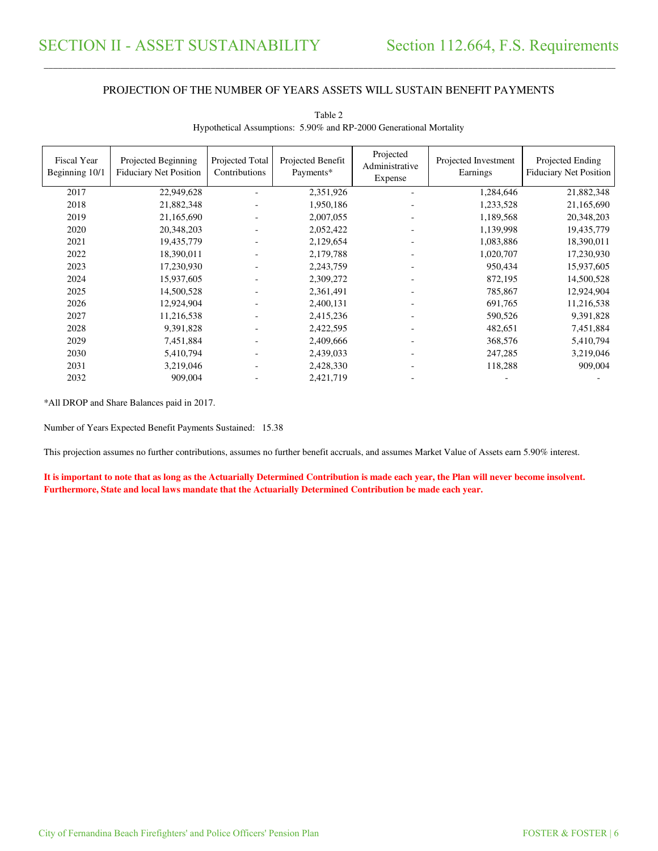#### PROJECTION OF THE NUMBER OF YEARS ASSETS WILL SUSTAIN BENEFIT PAYMENTS

\_\_\_\_\_\_\_\_\_\_\_\_\_\_\_\_\_\_\_\_\_\_\_\_\_\_\_\_\_\_\_\_\_\_\_\_\_\_\_\_\_\_\_\_\_\_\_\_\_\_\_\_\_\_\_\_\_\_\_\_\_\_\_\_\_\_\_\_\_\_\_\_\_\_\_\_\_\_\_\_\_\_\_\_\_\_\_\_\_\_\_\_\_\_\_\_\_\_\_\_\_\_\_\_\_\_\_\_\_\_\_\_\_\_\_\_\_\_\_\_\_\_\_\_\_\_\_\_\_\_\_\_\_\_\_\_\_\_\_\_\_\_\_\_\_\_\_\_\_\_

| Fiscal Year<br>Beginning 10/1 | Projected Beginning<br><b>Fiduciary Net Position</b> | Projected Total<br>Contributions | Projected Benefit<br>Payments* | Projected<br>Administrative<br>Expense | Projected Investment<br>Earnings | Projected Ending<br>Fiduciary Net Position |
|-------------------------------|------------------------------------------------------|----------------------------------|--------------------------------|----------------------------------------|----------------------------------|--------------------------------------------|
| 2017                          | 22,949,628                                           |                                  | 2,351,926                      | $\overline{\phantom{a}}$               | 1,284,646                        | 21,882,348                                 |
| 2018                          | 21,882,348                                           |                                  | 1,950,186                      | $\overline{\phantom{a}}$               | 1,233,528                        | 21,165,690                                 |
| 2019                          | 21,165,690                                           |                                  | 2,007,055                      | $\overline{\phantom{a}}$               | 1,189,568                        | 20,348,203                                 |
| 2020                          | 20,348,203                                           |                                  | 2,052,422                      | $\overline{\phantom{a}}$               | 1,139,998                        | 19,435,779                                 |
| 2021                          | 19,435,779                                           |                                  | 2,129,654                      | $\overline{\phantom{a}}$               | 1,083,886                        | 18,390,011                                 |
| 2022                          | 18,390,011                                           |                                  | 2,179,788                      | $\overline{\phantom{a}}$               | 1,020,707                        | 17,230,930                                 |
| 2023                          | 17,230,930                                           |                                  | 2,243,759                      | $\overline{\phantom{a}}$               | 950,434                          | 15,937,605                                 |
| 2024                          | 15,937,605                                           |                                  | 2,309,272                      |                                        | 872,195                          | 14,500,528                                 |
| 2025                          | 14,500,528                                           |                                  | 2,361,491                      | $\overline{\phantom{a}}$               | 785,867                          | 12,924,904                                 |
| 2026                          | 12,924,904                                           |                                  | 2,400,131                      | $\overline{\phantom{a}}$               | 691,765                          | 11,216,538                                 |
| 2027                          | 11,216,538                                           |                                  | 2,415,236                      |                                        | 590,526                          | 9,391,828                                  |
| 2028                          | 9,391,828                                            |                                  | 2,422,595                      |                                        | 482,651                          | 7,451,884                                  |
| 2029                          | 7,451,884                                            |                                  | 2,409,666                      |                                        | 368,576                          | 5,410,794                                  |
| 2030                          | 5,410,794                                            |                                  | 2,439,033                      |                                        | 247,285                          | 3,219,046                                  |
| 2031                          | 3,219,046                                            |                                  | 2,428,330                      |                                        | 118,288                          | 909,004                                    |
| 2032                          | 909,004                                              |                                  | 2,421,719                      |                                        |                                  |                                            |

Table 2 Hypothetical Assumptions: 5.90% and RP-2000 Generational Mortality

\*All DROP and Share Balances paid in 2017.

Number of Years Expected Benefit Payments Sustained: 15.38

This projection assumes no further contributions, assumes no further benefit accruals, and assumes Market Value of Assets earn 5.90% interest.

**It is important to note that as long as the Actuarially Determined Contribution is made each year, the Plan will never become insolvent. Furthermore, State and local laws mandate that the Actuarially Determined Contribution be made each year.**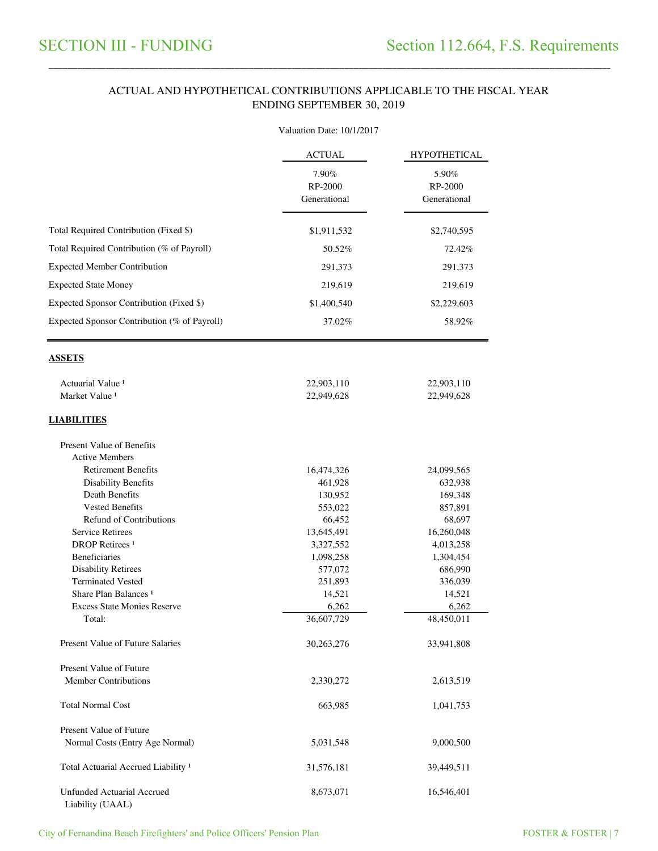#### ACTUAL AND HYPOTHETICAL CONTRIBUTIONS APPLICABLE TO THE FISCAL YEAR ENDING SEPTEMBER 30, 2019

\_\_\_\_\_\_\_\_\_\_\_\_\_\_\_\_\_\_\_\_\_\_\_\_\_\_\_\_\_\_\_\_\_\_\_\_\_\_\_\_\_\_\_\_\_\_\_\_\_\_\_\_\_\_\_\_\_\_\_\_\_\_\_\_\_\_\_\_\_\_\_\_\_\_\_\_\_\_\_\_\_\_\_\_\_\_\_\_\_\_\_\_\_\_\_\_\_\_\_\_\_\_\_\_\_\_\_\_\_\_\_\_\_\_\_\_\_\_\_\_\_\_\_\_\_\_\_\_\_\_\_\_\_\_\_\_\_\_\_\_\_\_\_\_\_\_\_\_\_\_

|                                                                                          | Valuation Date: 10/1/2017        |                                                                        |  |  |
|------------------------------------------------------------------------------------------|----------------------------------|------------------------------------------------------------------------|--|--|
|                                                                                          | <b>ACTUAL</b>                    | <b>HYPOTHETICAL</b><br>5.90%<br>RP-2000<br>Generational<br>\$2,740,595 |  |  |
|                                                                                          | 7.90%<br>RP-2000<br>Generational |                                                                        |  |  |
| Total Required Contribution (Fixed \$)                                                   | \$1,911,532                      |                                                                        |  |  |
| Total Required Contribution (% of Payroll)                                               | 50.52%                           | 72.42%                                                                 |  |  |
| <b>Expected Member Contribution</b>                                                      | 291,373                          | 291,373                                                                |  |  |
| <b>Expected State Money</b>                                                              | 219,619                          | 219,619                                                                |  |  |
|                                                                                          |                                  |                                                                        |  |  |
| Expected Sponsor Contribution (Fixed \$)<br>Expected Sponsor Contribution (% of Payroll) | \$1,400,540<br>37.02%            | \$2,229,603<br>58.92%                                                  |  |  |
| <b>ASSETS</b>                                                                            |                                  |                                                                        |  |  |
| Actuarial Value <sup>1</sup>                                                             | 22,903,110                       | 22,903,110                                                             |  |  |
| Market Value <sup>1</sup>                                                                | 22,949,628                       | 22,949,628                                                             |  |  |
| <b>LIABILITIES</b>                                                                       |                                  |                                                                        |  |  |
| Present Value of Benefits                                                                |                                  |                                                                        |  |  |
| <b>Active Members</b>                                                                    |                                  |                                                                        |  |  |
| <b>Retirement Benefits</b>                                                               | 16,474,326                       | 24,099,565                                                             |  |  |
| <b>Disability Benefits</b>                                                               | 461,928                          | 632,938                                                                |  |  |
| <b>Death Benefits</b>                                                                    | 130,952                          | 169,348                                                                |  |  |
| <b>Vested Benefits</b>                                                                   | 553,022                          | 857,891                                                                |  |  |
| <b>Refund of Contributions</b>                                                           | 66,452                           | 68,697                                                                 |  |  |
| <b>Service Retirees</b>                                                                  | 13,645,491                       | 16,260,048                                                             |  |  |
| <b>DROP</b> Retirees <sup>1</sup>                                                        | 3,327,552                        | 4,013,258                                                              |  |  |
| <b>Beneficiaries</b>                                                                     | 1,098,258                        | 1,304,454                                                              |  |  |
| <b>Disability Retirees</b>                                                               | 577,072                          | 686,990                                                                |  |  |
| <b>Terminated Vested</b>                                                                 | 251,893                          | 336,039                                                                |  |  |
| Share Plan Balances <sup>1</sup>                                                         | 14,521                           | 14,521                                                                 |  |  |
| <b>Excess State Monies Reserve</b><br>Total:                                             | 6,262<br>36,607,729              | 6,262<br>48,450,011                                                    |  |  |
| Present Value of Future Salaries                                                         | 30,263,276                       | 33,941,808                                                             |  |  |
|                                                                                          |                                  |                                                                        |  |  |
| <b>Present Value of Future</b>                                                           |                                  |                                                                        |  |  |
| <b>Member Contributions</b>                                                              | 2,330,272                        | 2,613,519                                                              |  |  |
| <b>Total Normal Cost</b>                                                                 | 663,985                          | 1,041,753                                                              |  |  |
| <b>Present Value of Future</b>                                                           |                                  |                                                                        |  |  |
| Normal Costs (Entry Age Normal)                                                          | 5,031,548                        | 9,000,500                                                              |  |  |
| Total Actuarial Accrued Liability <sup>1</sup>                                           | 31,576,181                       | 39,449,511                                                             |  |  |
| <b>Unfunded Actuarial Accrued</b><br>Liability (UAAL)                                    | 8,673,071                        | 16,546,401                                                             |  |  |